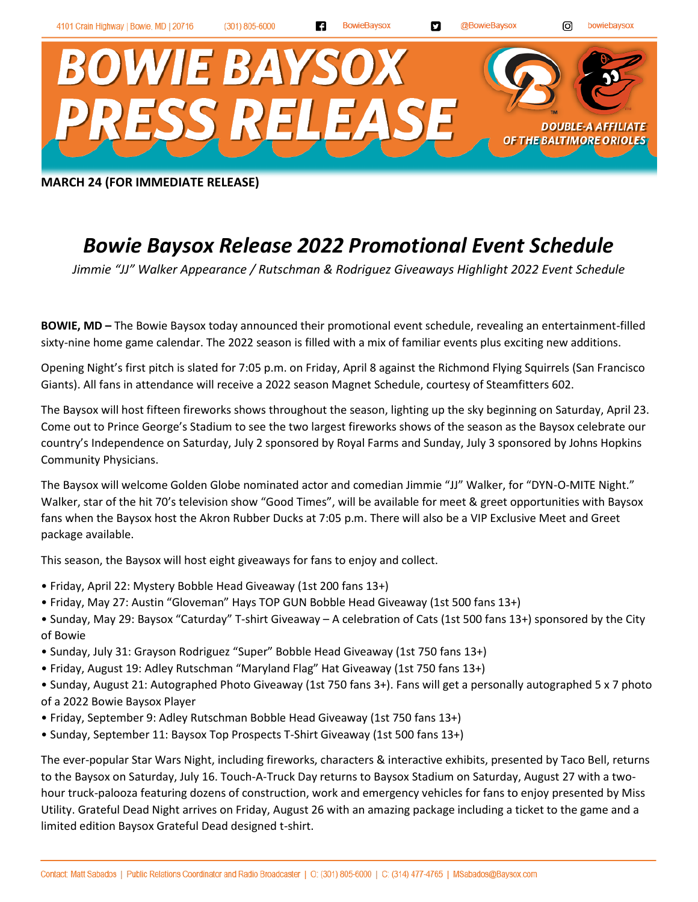**MARCH 24 (FOR IMMEDIATE RELEASE)**

## *Bowie Baysox Release 2022 Promotional Event Schedule*

*Jimmie "JJ" Walker Appearance / Rutschman & Rodriguez Giveaways Highlight 2022 Event Schedule*

**BOWIE, MD –** The Bowie Baysox today announced their promotional event schedule, revealing an entertainment-filled sixty-nine home game calendar. The 2022 season is filled with a mix of familiar events plus exciting new additions.

Opening Night's first pitch is slated for 7:05 p.m. on Friday, April 8 against the Richmond Flying Squirrels (San Francisco Giants). All fans in attendance will receive a 2022 season Magnet Schedule, courtesy of Steamfitters 602.

The Baysox will host fifteen fireworks shows throughout the season, lighting up the sky beginning on Saturday, April 23. Come out to Prince George's Stadium to see the two largest fireworks shows of the season as the Baysox celebrate our country's Independence on Saturday, July 2 sponsored by Royal Farms and Sunday, July 3 sponsored by Johns Hopkins Community Physicians.

The Baysox will welcome Golden Globe nominated actor and comedian Jimmie "JJ" Walker, for "DYN-O-MITE Night." Walker, star of the hit 70's television show "Good Times", will be available for meet & greet opportunities with Baysox fans when the Baysox host the Akron Rubber Ducks at 7:05 p.m. There will also be a VIP Exclusive Meet and Greet package available.

This season, the Baysox will host eight giveaways for fans to enjoy and collect.

- Friday, April 22: Mystery Bobble Head Giveaway (1st 200 fans 13+)
- Friday, May 27: Austin "Gloveman" Hays TOP GUN Bobble Head Giveaway (1st 500 fans 13+)
- Sunday, May 29: Baysox "Caturday" T-shirt Giveaway A celebration of Cats (1st 500 fans 13+) sponsored by the City of Bowie
- Sunday, July 31: Grayson Rodriguez "Super" Bobble Head Giveaway (1st 750 fans 13+)
- Friday, August 19: Adley Rutschman "Maryland Flag" Hat Giveaway (1st 750 fans 13+)
- Sunday, August 21: Autographed Photo Giveaway (1st 750 fans 3+). Fans will get a personally autographed 5 x 7 photo of a 2022 Bowie Baysox Player
- Friday, September 9: Adley Rutschman Bobble Head Giveaway (1st 750 fans 13+)
- Sunday, September 11: Baysox Top Prospects T-Shirt Giveaway (1st 500 fans 13+)

The ever-popular Star Wars Night, including fireworks, characters & interactive exhibits, presented by Taco Bell, returns to the Baysox on Saturday, July 16. Touch-A-Truck Day returns to Baysox Stadium on Saturday, August 27 with a twohour truck-palooza featuring dozens of construction, work and emergency vehicles for fans to enjoy presented by Miss Utility. Grateful Dead Night arrives on Friday, August 26 with an amazing package including a ticket to the game and a limited edition Baysox Grateful Dead designed t-shirt.